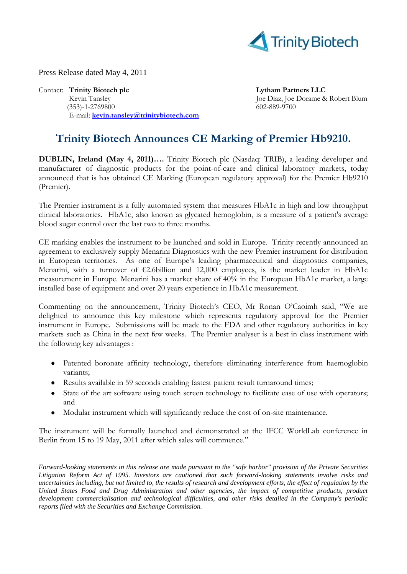

Press Release dated May 4, 2011

Contact: **Trinity Biotech plc Lytham Partners LLC** Kevin Tansley **Joe Diaz, Joe Diaz, Joe Dorame & Robert Blum**  (353)-1-2769800 602-889-9700 E-mail: **[kevin.tansley@trinitybiotech.com](mailto:kevin.tansley@trinitybiotech.com)**

## **Trinity Biotech Announces CE Marking of Premier Hb9210.**

**DUBLIN, Ireland (May 4, 2011)….** Trinity Biotech plc (Nasdaq: TRIB), a leading developer and manufacturer of diagnostic products for the point-of-care and clinical laboratory markets, today announced that is has obtained CE Marking (European regulatory approval) for the Premier Hb9210 (Premier).

The Premier instrument is a fully automated system that measures HbA1c in high and low throughput clinical laboratories. HbA1c, also known as glycated hemoglobin, is a measure of a patient's average blood sugar control over the last two to three months.

CE marking enables the instrument to be launched and sold in Europe. Trinity recently announced an agreement to exclusively supply Menarini Diagnostics with the new Premier instrument for distribution in European territories. As one of Europe's leading pharmaceutical and diagnostics companies, Menarini, with a turnover of €2.6billion and 12,000 employees, is the market leader in HbA1c measurement in Europe. Menarini has a market share of 40% in the European HbA1c market, a large installed base of equipment and over 20 years experience in HbA1c measurement.

Commenting on the announcement, Trinity Biotech's CEO, Mr Ronan O'Caoimh said, "We are delighted to announce this key milestone which represents regulatory approval for the Premier instrument in Europe. Submissions will be made to the FDA and other regulatory authorities in key markets such as China in the next few weeks. The Premier analyser is a best in class instrument with the following key advantages :

- Patented boronate affinity technology, therefore eliminating interference from haemoglobin variants;
- Results available in 59 seconds enabling fastest patient result turnaround times;  $\bullet$
- State of the art software using touch screen technology to facilitate ease of use with operators;  $\bullet$ and
- Modular instrument which will significantly reduce the cost of on-site maintenance.  $\bullet$

The instrument will be formally launched and demonstrated at the IFCC WorldLab conference in Berlin from 15 to 19 May, 2011 after which sales will commence."

*Forward-looking statements in this release are made pursuant to the "safe harbor" provision of the Private Securities Litigation Reform Act of 1995. Investors are cautioned that such forward-looking statements involve risks and uncertainties including, but not limited to, the results of research and development efforts, the effect of regulation by the United States Food and Drug Administration and other agencies, the impact of competitive products, product development commercialisation and technological difficulties, and other risks detailed in the Company's periodic reports filed with the Securities and Exchange Commission.*